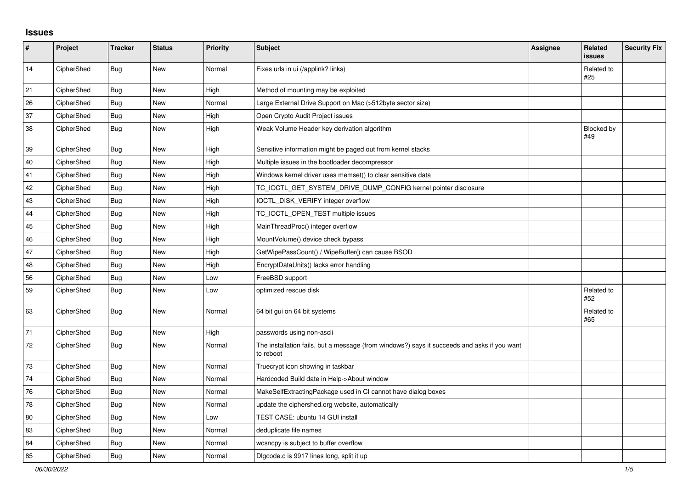## **Issues**

| $\vert$ # | Project    | <b>Tracker</b> | <b>Status</b> | Priority | <b>Subject</b>                                                                                           | Assignee | Related<br><b>issues</b> | <b>Security Fix</b> |
|-----------|------------|----------------|---------------|----------|----------------------------------------------------------------------------------------------------------|----------|--------------------------|---------------------|
| 14        | CipherShed | <b>Bug</b>     | <b>New</b>    | Normal   | Fixes urls in ui (/applink? links)                                                                       |          | Related to<br>#25        |                     |
| 21        | CipherShed | <b>Bug</b>     | <b>New</b>    | High     | Method of mounting may be exploited                                                                      |          |                          |                     |
| 26        | CipherShed | <b>Bug</b>     | <b>New</b>    | Normal   | Large External Drive Support on Mac (>512byte sector size)                                               |          |                          |                     |
| 37        | CipherShed | Bug            | New           | High     | Open Crypto Audit Project issues                                                                         |          |                          |                     |
| 38        | CipherShed | Bug            | <b>New</b>    | High     | Weak Volume Header key derivation algorithm                                                              |          | Blocked by<br>#49        |                     |
| 39        | CipherShed | <b>Bug</b>     | New           | High     | Sensitive information might be paged out from kernel stacks                                              |          |                          |                     |
| 40        | CipherShed | Bug            | <b>New</b>    | High     | Multiple issues in the bootloader decompressor                                                           |          |                          |                     |
| 41        | CipherShed | Bug            | <b>New</b>    | High     | Windows kernel driver uses memset() to clear sensitive data                                              |          |                          |                     |
| 42        | CipherShed | <b>Bug</b>     | New           | High     | TC_IOCTL_GET_SYSTEM_DRIVE_DUMP_CONFIG kernel pointer disclosure                                          |          |                          |                     |
| 43        | CipherShed | <b>Bug</b>     | <b>New</b>    | High     | IOCTL_DISK_VERIFY integer overflow                                                                       |          |                          |                     |
| 44        | CipherShed | Bug            | New           | High     | TC_IOCTL_OPEN_TEST multiple issues                                                                       |          |                          |                     |
| 45        | CipherShed | Bug            | <b>New</b>    | High     | MainThreadProc() integer overflow                                                                        |          |                          |                     |
| 46        | CipherShed | <b>Bug</b>     | New           | High     | MountVolume() device check bypass                                                                        |          |                          |                     |
| 47        | CipherShed | Bug            | <b>New</b>    | High     | GetWipePassCount() / WipeBuffer() can cause BSOD                                                         |          |                          |                     |
| 48        | CipherShed | Bug            | <b>New</b>    | High     | EncryptDataUnits() lacks error handling                                                                  |          |                          |                     |
| 56        | CipherShed | Bug            | New           | Low      | FreeBSD support                                                                                          |          |                          |                     |
| 59        | CipherShed | <b>Bug</b>     | <b>New</b>    | Low      | optimized rescue disk                                                                                    |          | Related to<br>#52        |                     |
| 63        | CipherShed | <b>Bug</b>     | <b>New</b>    | Normal   | 64 bit gui on 64 bit systems                                                                             |          | Related to<br>#65        |                     |
| 71        | CipherShed | Bug            | <b>New</b>    | High     | passwords using non-ascii                                                                                |          |                          |                     |
| 72        | CipherShed | <b>Bug</b>     | New           | Normal   | The installation fails, but a message (from windows?) says it succeeds and asks if you want<br>to reboot |          |                          |                     |
| 73        | CipherShed | Bug            | <b>New</b>    | Normal   | Truecrypt icon showing in taskbar                                                                        |          |                          |                     |
| 74        | CipherShed | <b>Bug</b>     | <b>New</b>    | Normal   | Hardcoded Build date in Help->About window                                                               |          |                          |                     |
| 76        | CipherShed | Bug            | <b>New</b>    | Normal   | MakeSelfExtractingPackage used in CI cannot have dialog boxes                                            |          |                          |                     |
| 78        | CipherShed | Bug            | New           | Normal   | update the ciphershed.org website, automatically                                                         |          |                          |                     |
| 80        | CipherShed | <b>Bug</b>     | <b>New</b>    | Low      | TEST CASE: ubuntu 14 GUI install                                                                         |          |                          |                     |
| 83        | CipherShed | <b>Bug</b>     | New           | Normal   | deduplicate file names                                                                                   |          |                          |                     |
| 84        | CipherShed | Bug            | <b>New</b>    | Normal   | wcsncpy is subject to buffer overflow                                                                    |          |                          |                     |
| 85        | CipherShed | Bug            | New           | Normal   | Digcode.c is 9917 lines long, split it up                                                                |          |                          |                     |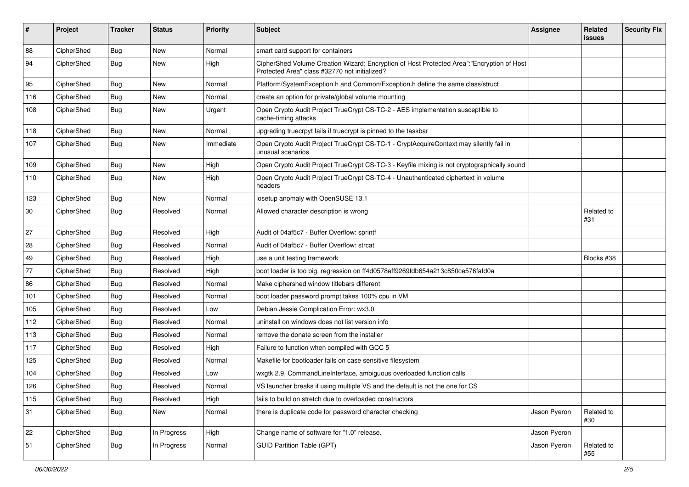| #      | Project    | <b>Tracker</b> | <b>Status</b> | <b>Priority</b> | Subject                                                                                                                                    | <b>Assignee</b> | Related<br><b>issues</b> | <b>Security Fix</b> |
|--------|------------|----------------|---------------|-----------------|--------------------------------------------------------------------------------------------------------------------------------------------|-----------------|--------------------------|---------------------|
| 88     | CipherShed | Bug            | New           | Normal          | smart card support for containers                                                                                                          |                 |                          |                     |
| 94     | CipherShed | <b>Bug</b>     | New           | High            | CipherShed Volume Creation Wizard: Encryption of Host Protected Area":"Encryption of Host<br>Protected Area" class #32770 not initialized? |                 |                          |                     |
| 95     | CipherShed | Bug            | <b>New</b>    | Normal          | Platform/SystemException.h and Common/Exception.h define the same class/struct                                                             |                 |                          |                     |
| 116    | CipherShed | <b>Bug</b>     | New           | Normal          | create an option for private/global volume mounting                                                                                        |                 |                          |                     |
| 108    | CipherShed | <b>Bug</b>     | New           | Urgent          | Open Crypto Audit Project TrueCrypt CS-TC-2 - AES implementation susceptible to<br>cache-timing attacks                                    |                 |                          |                     |
| 118    | CipherShed | <b>Bug</b>     | New           | Normal          | upgrading truecrpyt fails if truecrypt is pinned to the taskbar                                                                            |                 |                          |                     |
| 107    | CipherShed | <b>Bug</b>     | New           | Immediate       | Open Crypto Audit Project TrueCrypt CS-TC-1 - CryptAcquireContext may silently fail in<br>unusual scenarios                                |                 |                          |                     |
| 109    | CipherShed | <b>Bug</b>     | <b>New</b>    | High            | Open Crypto Audit Project TrueCrypt CS-TC-3 - Keyfile mixing is not cryptographically sound                                                |                 |                          |                     |
| 110    | CipherShed | Bug            | <b>New</b>    | High            | Open Crypto Audit Project TrueCrypt CS-TC-4 - Unauthenticated ciphertext in volume<br>headers                                              |                 |                          |                     |
| 123    | CipherShed | <b>Bug</b>     | New           | Normal          | losetup anomaly with OpenSUSE 13.1                                                                                                         |                 |                          |                     |
| $30\,$ | CipherShed | Bug            | Resolved      | Normal          | Allowed character description is wrong                                                                                                     |                 | Related to<br>#31        |                     |
| 27     | CipherShed | <b>Bug</b>     | Resolved      | High            | Audit of 04af5c7 - Buffer Overflow: sprintf                                                                                                |                 |                          |                     |
| 28     | CipherShed | <b>Bug</b>     | Resolved      | Normal          | Audit of 04af5c7 - Buffer Overflow: strcat                                                                                                 |                 |                          |                     |
| 49     | CipherShed | Bug            | Resolved      | High            | use a unit testing framework                                                                                                               |                 | Blocks #38               |                     |
| 77     | CipherShed | Bug            | Resolved      | High            | boot loader is too big, regression on ff4d0578aff9269fdb654a213c850ce576fafd0a                                                             |                 |                          |                     |
| 86     | CipherShed | <b>Bug</b>     | Resolved      | Normal          | Make ciphershed window titlebars different                                                                                                 |                 |                          |                     |
| 101    | CipherShed | <b>Bug</b>     | Resolved      | Normal          | boot loader password prompt takes 100% cpu in VM                                                                                           |                 |                          |                     |
| 105    | CipherShed | <b>Bug</b>     | Resolved      | Low             | Debian Jessie Complication Error: wx3.0                                                                                                    |                 |                          |                     |
| 112    | CipherShed | Bug            | Resolved      | Normal          | uninstall on windows does not list version info                                                                                            |                 |                          |                     |
| 113    | CipherShed | Bug            | Resolved      | Normal          | remove the donate screen from the installer                                                                                                |                 |                          |                     |
| 117    | CipherShed | <b>Bug</b>     | Resolved      | High            | Failure to function when compiled with GCC 5                                                                                               |                 |                          |                     |
| 125    | CipherShed | <b>Bug</b>     | Resolved      | Normal          | Makefile for bootloader fails on case sensitive filesystem                                                                                 |                 |                          |                     |
| 104    | CipherShed | <b>Bug</b>     | Resolved      | Low             | wxgtk 2.9, CommandLineInterface, ambiguous overloaded function calls                                                                       |                 |                          |                     |
| 126    | CipherShed | Bug            | Resolved      | Normal          | VS launcher breaks if using multiple VS and the default is not the one for CS                                                              |                 |                          |                     |
| 115    | CipherShed | <b>Bug</b>     | Resolved      | High            | fails to build on stretch due to overloaded constructors                                                                                   |                 |                          |                     |
| 31     | CipherShed | <b>Bug</b>     | New           | Normal          | there is duplicate code for password character checking                                                                                    | Jason Pyeron    | Related to<br>#30        |                     |
| 22     | CipherShed | <b>Bug</b>     | In Progress   | High            | Change name of software for "1.0" release.                                                                                                 | Jason Pyeron    |                          |                     |
| 51     | CipherShed | <b>Bug</b>     | In Progress   | Normal          | <b>GUID Partition Table (GPT)</b>                                                                                                          | Jason Pyeron    | Related to<br>#55        |                     |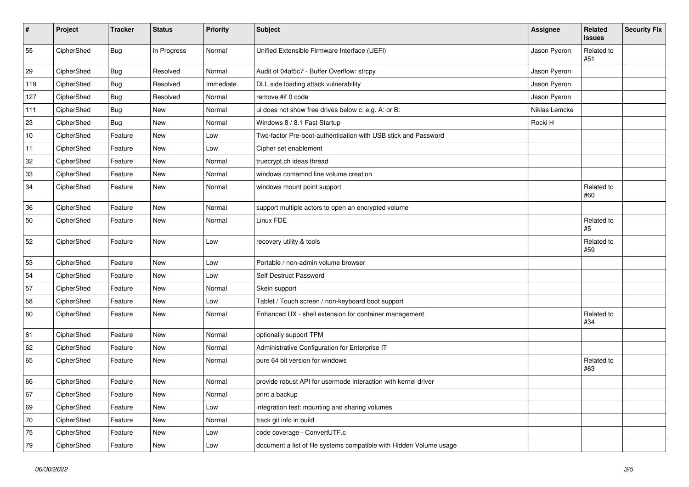| #   | Project    | <b>Tracker</b> | <b>Status</b> | <b>Priority</b> | <b>Subject</b>                                                      | Assignee      | <b>Related</b><br>issues | <b>Security Fix</b> |
|-----|------------|----------------|---------------|-----------------|---------------------------------------------------------------------|---------------|--------------------------|---------------------|
| 55  | CipherShed | Bug            | In Progress   | Normal          | Unified Extensible Firmware Interface (UEFI)                        | Jason Pyeron  | Related to<br>#51        |                     |
| 29  | CipherShed | <b>Bug</b>     | Resolved      | Normal          | Audit of 04af5c7 - Buffer Overflow: strcpy                          | Jason Pyeron  |                          |                     |
| 119 | CipherShed | <b>Bug</b>     | Resolved      | Immediate       | DLL side loading attack vulnerability                               | Jason Pyeron  |                          |                     |
| 127 | CipherShed | Bug            | Resolved      | Normal          | remove #if 0 code                                                   | Jason Pyeron  |                          |                     |
| 111 | CipherShed | <b>Bug</b>     | <b>New</b>    | Normal          | ui does not show free drives below c: e.g. A: or B:                 | Niklas Lemcke |                          |                     |
| 23  | CipherShed | <b>Bug</b>     | New           | Normal          | Windows 8 / 8.1 Fast Startup                                        | Rocki H       |                          |                     |
| 10  | CipherShed | Feature        | <b>New</b>    | Low             | Two-factor Pre-boot-authentication with USB stick and Password      |               |                          |                     |
| 11  | CipherShed | Feature        | New           | Low             | Cipher set enablement                                               |               |                          |                     |
| 32  | CipherShed | Feature        | New           | Normal          | truecrypt.ch ideas thread                                           |               |                          |                     |
| 33  | CipherShed | Feature        | <b>New</b>    | Normal          | windows comamnd line volume creation                                |               |                          |                     |
| 34  | CipherShed | Feature        | New           | Normal          | windows mount point support                                         |               | Related to<br>#60        |                     |
| 36  | CipherShed | Feature        | <b>New</b>    | Normal          | support multiple actors to open an encrypted volume                 |               |                          |                     |
| 50  | CipherShed | Feature        | New           | Normal          | Linux FDE                                                           |               | Related to<br>#5         |                     |
| 52  | CipherShed | Feature        | New           | Low             | recovery utility & tools                                            |               | Related to<br>#59        |                     |
| 53  | CipherShed | Feature        | New           | Low             | Portable / non-admin volume browser                                 |               |                          |                     |
| 54  | CipherShed | Feature        | New           | Low             | Self Destruct Password                                              |               |                          |                     |
| 57  | CipherShed | Feature        | New           | Normal          | Skein support                                                       |               |                          |                     |
| 58  | CipherShed | Feature        | <b>New</b>    | Low             | Tablet / Touch screen / non-keyboard boot support                   |               |                          |                     |
| 60  | CipherShed | Feature        | New           | Normal          | Enhanced UX - shell extension for container management              |               | Related to<br>#34        |                     |
| 61  | CipherShed | Feature        | New           | Normal          | optionally support TPM                                              |               |                          |                     |
| 62  | CipherShed | Feature        | New           | Normal          | Administrative Configuration for Enterprise IT                      |               |                          |                     |
| 65  | CipherShed | Feature        | New           | Normal          | pure 64 bit version for windows                                     |               | Related to<br>#63        |                     |
| 66  | CipherShed | Feature        | New           | Normal          | provide robust API for usermode interaction with kernel driver      |               |                          |                     |
| 67  | CipherShed | Feature        | New           | Normal          | print a backup                                                      |               |                          |                     |
| 69  | CipherShed | Feature        | New           | Low             | integration test: mounting and sharing volumes                      |               |                          |                     |
| 70  | CipherShed | Feature        | New           | Normal          | track git info in build                                             |               |                          |                     |
| 75  | CipherShed | Feature        | New           | Low             | code coverage - ConvertUTF.c                                        |               |                          |                     |
| 79  | CipherShed | Feature        | New           | Low             | document a list of file systems compatible with Hidden Volume usage |               |                          |                     |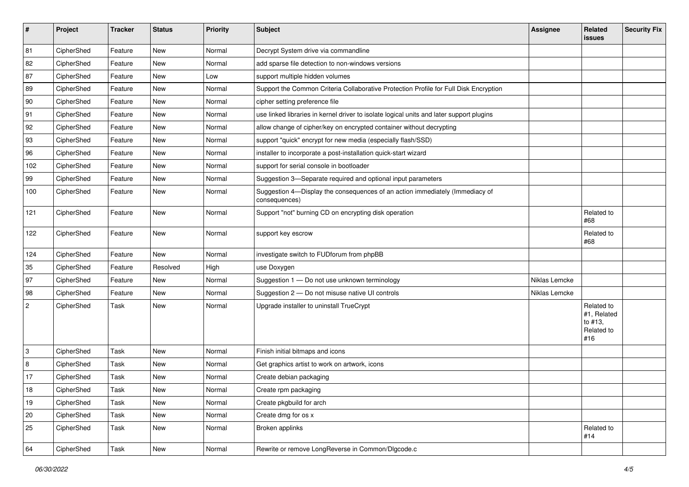| #              | Project    | <b>Tracker</b> | <b>Status</b> | <b>Priority</b> | <b>Subject</b>                                                                                | <b>Assignee</b> | Related<br><b>issues</b>                                  | <b>Security Fix</b> |
|----------------|------------|----------------|---------------|-----------------|-----------------------------------------------------------------------------------------------|-----------------|-----------------------------------------------------------|---------------------|
| 81             | CipherShed | Feature        | <b>New</b>    | Normal          | Decrypt System drive via commandline                                                          |                 |                                                           |                     |
| 82             | CipherShed | Feature        | New           | Normal          | add sparse file detection to non-windows versions                                             |                 |                                                           |                     |
| 87             | CipherShed | Feature        | New           | Low             | support multiple hidden volumes                                                               |                 |                                                           |                     |
| 89             | CipherShed | Feature        | New           | Normal          | Support the Common Criteria Collaborative Protection Profile for Full Disk Encryption         |                 |                                                           |                     |
| 90             | CipherShed | Feature        | New           | Normal          | cipher setting preference file                                                                |                 |                                                           |                     |
| 91             | CipherShed | Feature        | <b>New</b>    | Normal          | use linked libraries in kernel driver to isolate logical units and later support plugins      |                 |                                                           |                     |
| 92             | CipherShed | Feature        | New           | Normal          | allow change of cipher/key on encrypted container without decrypting                          |                 |                                                           |                     |
| 93             | CipherShed | Feature        | New           | Normal          | support "quick" encrypt for new media (especially flash/SSD)                                  |                 |                                                           |                     |
| 96             | CipherShed | Feature        | <b>New</b>    | Normal          | installer to incorporate a post-installation quick-start wizard                               |                 |                                                           |                     |
| 102            | CipherShed | Feature        | New           | Normal          | support for serial console in bootloader                                                      |                 |                                                           |                     |
| 99             | CipherShed | Feature        | New           | Normal          | Suggestion 3-Separate required and optional input parameters                                  |                 |                                                           |                     |
| 100            | CipherShed | Feature        | New           | Normal          | Suggestion 4-Display the consequences of an action immediately (Immediacy of<br>consequences) |                 |                                                           |                     |
| 121            | CipherShed | Feature        | New           | Normal          | Support "not" burning CD on encrypting disk operation                                         |                 | Related to<br>#68                                         |                     |
| 122            | CipherShed | Feature        | New           | Normal          | support key escrow                                                                            |                 | Related to<br>#68                                         |                     |
| 124            | CipherShed | Feature        | <b>New</b>    | Normal          | investigate switch to FUDforum from phpBB                                                     |                 |                                                           |                     |
| 35             | CipherShed | Feature        | Resolved      | High            | use Doxygen                                                                                   |                 |                                                           |                     |
| 97             | CipherShed | Feature        | New           | Normal          | Suggestion 1 - Do not use unknown terminology                                                 | Niklas Lemcke   |                                                           |                     |
| 98             | CipherShed | Feature        | New           | Normal          | Suggestion 2 - Do not misuse native UI controls                                               | Niklas Lemcke   |                                                           |                     |
| $\overline{2}$ | CipherShed | Task           | New           | Normal          | Upgrade installer to uninstall TrueCrypt                                                      |                 | Related to<br>#1, Related<br>to #13,<br>Related to<br>#16 |                     |
| 3              | CipherShed | Task           | New           | Normal          | Finish initial bitmaps and icons                                                              |                 |                                                           |                     |
| 8              | CipherShed | Task           | New           | Normal          | Get graphics artist to work on artwork, icons                                                 |                 |                                                           |                     |
| 17             | CipherShed | Task           | New           | Normal          | Create debian packaging                                                                       |                 |                                                           |                     |
| $18\,$         | CipherShed | Task           | New           | Normal          | Create rpm packaging                                                                          |                 |                                                           |                     |
| 19             | CipherShed | Task           | New           | Normal          | Create pkgbuild for arch                                                                      |                 |                                                           |                     |
| 20             | CipherShed | Task           | New           | Normal          | Create dmg for os x                                                                           |                 |                                                           |                     |
| 25             | CipherShed | Task           | New           | Normal          | Broken applinks                                                                               |                 | Related to<br>#14                                         |                     |
| 64             | CipherShed | Task           | New           | Normal          | Rewrite or remove LongReverse in Common/Dlgcode.c                                             |                 |                                                           |                     |